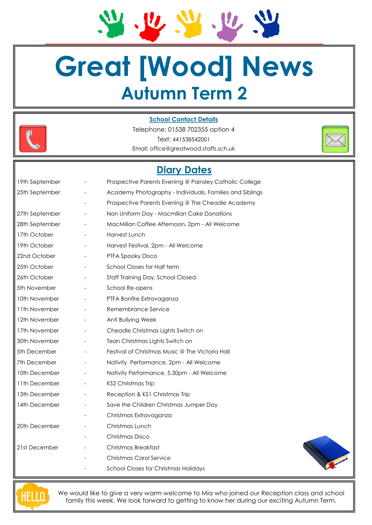**Great [Wood] News Autumn Term 2**

 $U$ </u>

 $\frac{1}{2}$ 



#### **School Contact Details**

Telephone: 01538 702355 option 4 Text: 441538542001 Email: office@greatwood.staffs.sch.uk



| 19th September |                          | Prospective Parents Evening @ Painsley Catholic College  |  |  |
|----------------|--------------------------|----------------------------------------------------------|--|--|
| 25th September |                          | Academy Photography - Individuals, Families and Siblings |  |  |
|                |                          | Prospective Parents Evening @ The Cheadle Academy        |  |  |
| 27th September |                          | Non Uniform Day - Macmillan Cake Donations               |  |  |
| 28th September |                          | MacMillan Coffee Afternoon, 2pm - All Welcome            |  |  |
| 17th October   |                          | Harvest Lunch                                            |  |  |
| 19th October   |                          | Harvest Festival, 2pm - All Welcome                      |  |  |
| 22nd October   |                          | PTFA Spooky Disco                                        |  |  |
| 25th October   |                          | School Closes for Half term                              |  |  |
| 26th October   |                          | Staff Training Day, School Closed                        |  |  |
| 5th November   | $\overline{\phantom{a}}$ | School Re-opens                                          |  |  |
| 10th November  |                          | PTFA Bonfire Extravaganza                                |  |  |
| 11th November  |                          | Remembrance Service                                      |  |  |
| 12th November  | $\overline{\phantom{a}}$ | Anti Bullying Week                                       |  |  |
| 17th November  |                          | Cheadle Christmas Lights Switch on                       |  |  |
| 30th November  |                          | Tean Christmas Lights Switch on                          |  |  |
| 5th December   |                          | Festival of Christmas Music @ The Victoria Hall          |  |  |
| 7th December   |                          | Nativity Performance, 2pm - All Welcome                  |  |  |
| 10th December  |                          | Nativity Performance, 5.30pm - All Welcome               |  |  |
| 11th December  |                          | <b>KS2 Christmas Trip</b>                                |  |  |
| 13th December  |                          | Reception & KS1 Christmas Trip                           |  |  |
| 14th December  |                          | Save the Children Christmas Jumper Day                   |  |  |
|                |                          | Christmas Extravaganza                                   |  |  |
| 20th December  |                          | Christmas Lunch                                          |  |  |
|                |                          | Christmas Disco                                          |  |  |
| 21st December  |                          | Christmas Breakfast                                      |  |  |
|                |                          | <b>Christmas Carol Service</b>                           |  |  |
|                |                          | School Closes for Christmas Holidays                     |  |  |



We would like to give a very warm welcome to Mia who joined our Reception class and school family this week. We look forward to getting to know her during our exciting Autumn Term.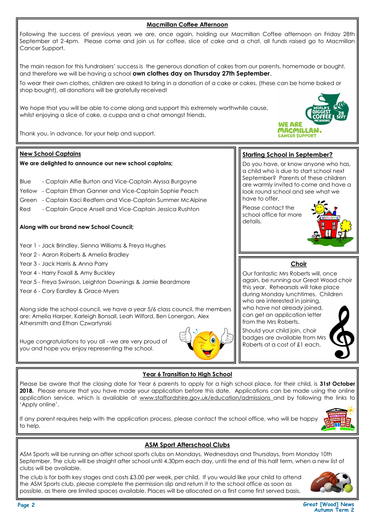**Macmillan Coffee Afternoon** Following the success of previous years we are, once again, holding our Macmillan Coffee afternoon on Friday 28th September at 2-4pm. Please come and join us for coffee, slice of cake and a chat, all funds raised go to Macmillan Cancer Support. The main reason for this fundraisers' success is the generous donation of cakes from our parents, homemade or bought, and therefore we will be having a school **own clothes day on Thursday 27th September**. To wear their own clothes, children are asked to bring in a donation of a cake or cakes, (these can be home baked or shop bought), all donations will be gratefully received!

We hope that you will be able to come along and support this extremely worthwhile cause, whilst enjoying a slice of cake, a cuppa and a chat amongst friends.

Thank you, in advance, for your help and support.

# **New School Captains**

# **We are delighted to announce our new school captains;**

- Blue Captain Alfie Burton and Vice-Captain Alyssa Burgoyne
- Yellow Captain Ethan Ganner and Vice-Captain Sophie Peach
- Green Captain Kaci Redfern and Vice-Captain Summer McAlpine
- Red Captain Grace Ansell and Vice-Captain Jessica Rushton

# **Along with our brand new School Council;**

- Year 1 Jack Brindley, Sienna Williams & Freya Hughes
- Year 2 Aaron Roberts & Amelia Bradley
- Year 3 Jack Harris & Anna Parry
- Year 4 Harry Foxall & Amy Buckley
- Year 5 Freya Swinson, Leighton Downings & Jamie Beardmore
- Year 6 Cory Eardley & Grace Myers

Along side the school council, we have a year 5/6 class council, the members are: Amelia Harper, Karleigh Bonsall, Leah Wilford, Ben Lonergan, Alex Athersmith and Ethan Czwartynski

Huge congratulations to you all - we are very proud of you and hope you enjoy representing the school.

# **Year 6 Transition to High School**

Please be aware that the closing date for Year 6 parents to apply for a high school place, for their child, is **31st October 2018.** Please ensure that you have made your application before this date. Applications can be made using the online application service, which is available at www.staffordshire.gov.uk/education/admissions and by following the links to 'Apply online'.

If any parent requires help with the application process, please contact the school office, who will be happy to help.



# **ASM Sport Afterschool Clubs**

ASM Sports will be running an after school sports clubs on Mondays, Wednesdays and Thursdays, from Monday 10th September. The club will be straight after school until 4.30pm each day, until the end of this half term, when a new list of clubs will be available.

The club is for both key stages and costs £3.00 per week, per child. If you would like your child to attend the ASM Sports club, please complete the permission slip and return it to the school office as soon as possible, as there are limited spaces available. Places will be allocated on a first come first served basis.



#### **Page 2 Great [Wood] News Autumn Term 2**





**WE ARE MACMILLAN CANCER SUPPORT** 

Do you have, or know anyone who has, a child who is due to start school next September? Parents of these children are warmly invited to come and have a look round school and see what we have to offer.

Please contact the school office for more details.



# **Choir**

Our fantastic Mrs Roberts will, once again, be running our Great Wood choir this year. Rehearsals will take place during Monday lunchtimes. Children who are interested in joining, who have not already joined, can get an application letter from the Mrs Roberts.

Should your child join, choir badges are available from Mrs Roberts at a cost of £1 each.